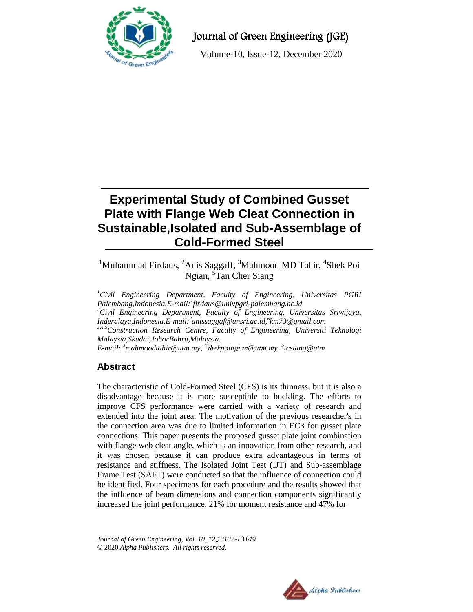

# Journal of Green Engineering (JGE)

Volume-10, Issue-12, December 2020

# **Experimental Study of Combined Gusset Plate with Flange Web Cleat Connection in Sustainable,Isolated and Sub-Assemblage of Cold-Formed Steel**

<sup>1</sup>Muhammad Firdaus, <sup>2</sup>Anis Saggaff, <sup>3</sup>Mahmood MD Tahir, <sup>4</sup>Shek Poi Ngian, <sup>5</sup>Tan Cher Siang

*<sup>1</sup>Civil Engineering Department, Faculty of Engineering, Universitas PGRI Palembang,Indonesia.E-mail:<sup>1</sup> firdaus@univpgri-palembang.ac.id <sup>2</sup>Civil Engineering Department, Faculty of Engineering, Universitas Sriwijaya, Inderalaya,Indonesia.E-mail:<sup>2</sup> anissaggaf@unsri.ac.id,<sup>6</sup> km73@gmail.com 3,4,5Construction Research Centre, Faculty of Engineering, Universiti Teknologi Malaysia,Skudai,JohorBahru,Malaysia. E-mail: <sup>3</sup>mahmoodtahir@utm.my, <sup>4</sup> <sup>5</sup> tcsiang@utm*

# **Abstract**

The characteristic of Cold-Formed Steel (CFS) is its thinness, but it is also a disadvantage because it is more susceptible to buckling. The efforts to improve CFS performance were carried with a variety of research and extended into the joint area. The motivation of the previous researcher's in the connection area was due to limited information in EC3 for gusset plate connections. This paper presents the proposed gusset plate joint combination with flange web cleat angle, which is an innovation from other research, and it was chosen because it can produce extra advantageous in terms of resistance and stiffness. The Isolated Joint Test (IJT) and Sub-assemblage Frame Test (SAFT) were conducted so that the influence of connection could be identified. Four specimens for each procedure and the results showed that the influence of beam dimensions and connection components significantly increased the joint performance, 21% for moment resistance and 47% for

*Journal of Green Engineering, Vol. 10\_12,13132-13149.* © 2020 *Alpha Publishers. All rights reserved.*

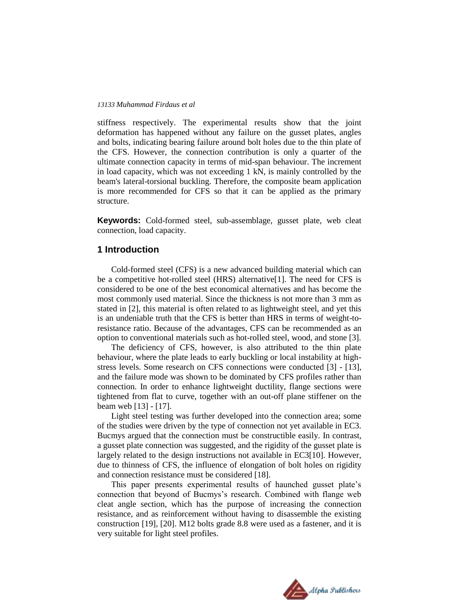#### *13133 Muhammad Firdaus et al*

stiffness respectively. The experimental results show that the joint deformation has happened without any failure on the gusset plates, angles and bolts, indicating bearing failure around bolt holes due to the thin plate of the CFS. However, the connection contribution is only a quarter of the ultimate connection capacity in terms of mid-span behaviour. The increment in load capacity, which was not exceeding 1 kN, is mainly controlled by the beam's lateral-torsional buckling. Therefore, the composite beam application is more recommended for CFS so that it can be applied as the primary structure.

**Keywords:** Cold-formed steel, sub-assemblage, gusset plate, web cleat connection, load capacity.

## **1 Introduction**

Cold-formed steel (CFS) is a new advanced building material which can be a competitive hot-rolled steel (HRS) alternative[1]. The need for CFS is considered to be one of the best economical alternatives and has become the most commonly used material. Since the thickness is not more than 3 mm as stated in [2], this material is often related to as lightweight steel, and yet this is an undeniable truth that the CFS is better than HRS in terms of weight-toresistance ratio. Because of the advantages, CFS can be recommended as an option to conventional materials such as hot-rolled steel, wood, and stone [3].

The deficiency of CFS, however, is also attributed to the thin plate behaviour, where the plate leads to early buckling or local instability at highstress levels. Some research on CFS connections were conducted [3] - [13], and the failure mode was shown to be dominated by CFS profiles rather than connection. In order to enhance lightweight ductility, flange sections were tightened from flat to curve, together with an out-off plane stiffener on the beam web [13] - [17].

Light steel testing was further developed into the connection area; some of the studies were driven by the type of connection not yet available in EC3. Bucmys argued that the connection must be constructible easily. In contrast, a gusset plate connection was suggested, and the rigidity of the gusset plate is largely related to the design instructions not available in EC3[10]. However, due to thinness of CFS, the influence of elongation of bolt holes on rigidity and connection resistance must be considered [18].

This paper presents experimental results of haunched gusset plate's connection that beyond of Bucmys's research. Combined with flange web cleat angle section, which has the purpose of increasing the connection resistance, and as reinforcement without having to disassemble the existing construction [19], [20]. M12 bolts grade 8.8 were used as a fastener, and it is very suitable for light steel profiles.

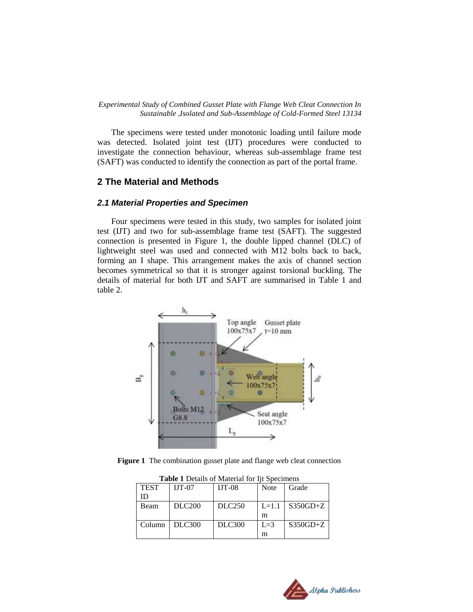#### *Experimental Study of Combined Gusset Plate with Flange Web Cleat Connection In Sustainable ,Isolated and Sub-Assemblage of Cold-Formed Steel 13134*

The specimens were tested under monotonic loading until failure mode was detected. Isolated joint test (IJT) procedures were conducted to investigate the connection behaviour, whereas sub-assemblage frame test (SAFT) was conducted to identify the connection as part of the portal frame.

## **2 The Material and Methods**

## *2.1 Material Properties and Specimen*

Four specimens were tested in this study, two samples for isolated joint test (IJT) and two for sub-assemblage frame test (SAFT). The suggested connection is presented in [Figure 1,](#page-2-0) the double lipped channel (DLC) of lightweight steel was used and connected with M12 bolts back to back, forming an I shape. This arrangement makes the axis of channel section becomes symmetrical so that it is stronger against torsional buckling. The details of material for both IJT and SAFT are summarised in Table 1 and table 2.



<span id="page-2-0"></span>**Figure 1** The combination gusset plate and flange web cleat connection

| <b>Table 1</b> Details of Material for the Specifients |                    |               |         |              |
|--------------------------------------------------------|--------------------|---------------|---------|--------------|
| <b>TEST</b>                                            | $IJT-07$           | $IJT-08$      | Note    | Grade        |
| ID                                                     |                    |               |         |              |
| Beam                                                   | DLC <sub>200</sub> | <b>DLC250</b> | $L=1.1$ | $S350GD + Z$ |
|                                                        |                    |               | m       |              |
| Column                                                 | DLC300             | <b>DLC300</b> | $L=3$   | $S350GD+Z$   |
|                                                        |                    |               | m       |              |

**Table 1** Details of Material for Iit Specimens

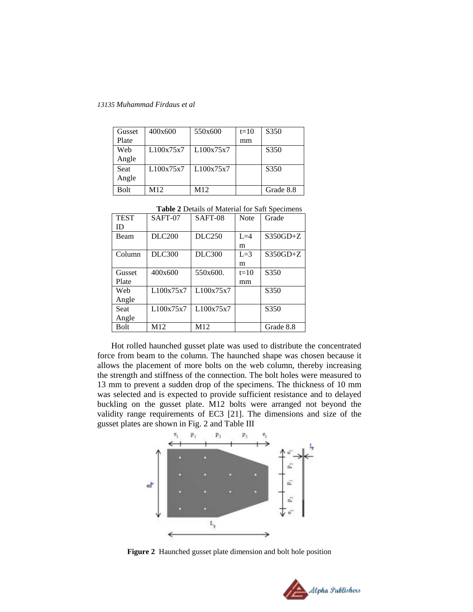*13135 Muhammad Firdaus et al*

| Gusset      | 400x600   | 550x600   | $t=10$ | S350             |
|-------------|-----------|-----------|--------|------------------|
| Plate       |           |           | mm     |                  |
| Web         | L100x75x7 | L100x75x7 |        | S <sub>350</sub> |
| Angle       |           |           |        |                  |
| <b>Seat</b> | L100x75x7 | L100x75x7 |        | S350             |
| Angle       |           |           |        |                  |
| Bolt        | M12       | M12       |        | Grade 8.8        |

**Table 2** Details of Material for Saft Specimens

| <b>TEST</b> | SAFT-07       | SAFT-08       | Note   | Grade        |
|-------------|---------------|---------------|--------|--------------|
| ID          |               |               |        |              |
| Beam        | <b>DLC200</b> | DLC250        | $L=4$  | $S350GD + Z$ |
|             |               |               | m      |              |
| Column      | <b>DLC300</b> | <b>DLC300</b> | $L=3$  | $S350GD + Z$ |
|             |               |               | m      |              |
| Gusset      | 400x600       | 550x600.      | $t=10$ | S350         |
| Plate       |               |               | mm     |              |
| Web         | L100x75x7     | L100x75x7     |        | S350         |
| Angle       |               |               |        |              |
| Seat        | L100x75x7     | L100x75x7     |        | S350         |
| Angle       |               |               |        |              |
| Bolt        | M12           | M12           |        | Grade 8.8    |

Hot rolled haunched gusset plate was used to distribute the concentrated force from beam to the column. The haunched shape was chosen because it allows the placement of more bolts on the web column, thereby increasing the strength and stiffness of the connection. The bolt holes were measured to 13 mm to prevent a sudden drop of the specimens. The thickness of 10 mm was selected and is expected to provide sufficient resistance and to delayed buckling on the gusset plate. M12 bolts were arranged not beyond the validity range requirements of EC3 [21]. The dimensions and size of the gusset plates are shown in Fig. 2 and Table III



**Figure 2** Haunched gusset plate dimension and bolt hole position

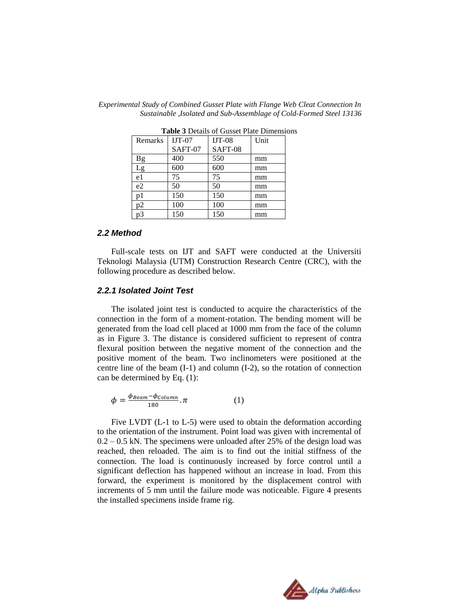| Table 9 Details of Gusset Flate Difficusiv |          |          |      |
|--------------------------------------------|----------|----------|------|
| Remarks                                    | $IJT-07$ | $IJT-08$ | Unit |
|                                            | SAFT-07  | SAFT-08  |      |
| <b>Bg</b>                                  | 400      | 550      | mm   |
| Lg                                         | 600      | 600      | mm   |
| e1                                         | 75       | 75       | mm   |
| e2                                         | 50       | 50       | mm   |
| p1                                         | 150      | 150      | mm   |
| р2                                         | 100      | 100      | mm   |
| pЗ                                         | 150      | 150      | mm   |

*Experimental Study of Combined Gusset Plate with Flange Web Cleat Connection In Sustainable ,Isolated and Sub-Assemblage of Cold-Formed Steel 13136*

**Table 3** Details of Gusset Plate Dimensions

#### *2.2 Method*

Full-scale tests on IJT and SAFT were conducted at the Universiti Teknologi Malaysia (UTM) Construction Research Centre (CRC), with the following procedure as described below.

## *2.2.1 Isolated Joint Test*

The isolated joint test is conducted to acquire the characteristics of the connection in the form of a moment-rotation. The bending moment will be generated from the load cell placed at 1000 mm from the face of the column as in [Figure](#page-5-0) 3. The distance is considered sufficient to represent of contra flexural position between the negative moment of the connection and the positive moment of the beam. Two inclinometers were positioned at the centre line of the beam (I-1) and column (I-2), so the rotation of connection can be determined by Eq. (1):

$$
\phi = \frac{\phi_{Beam} - \phi_{Column}}{180} \cdot \pi \tag{1}
$$

Five LVDT (L-1 to L-5) were used to obtain the deformation according to the orientation of the instrument. Point load was given with incremental of  $0.2 - 0.5$  kN. The specimens were unloaded after 25% of the design load was reached, then reloaded. The aim is to find out the initial stiffness of the connection. The load is continuously increased by force control until a significant deflection has happened without an increase in load. From this forward, the experiment is monitored by the displacement control with increments of 5 mm until the failure mode was noticeable. [Figure](#page-5-1) 4 presents the installed specimens inside frame rig.

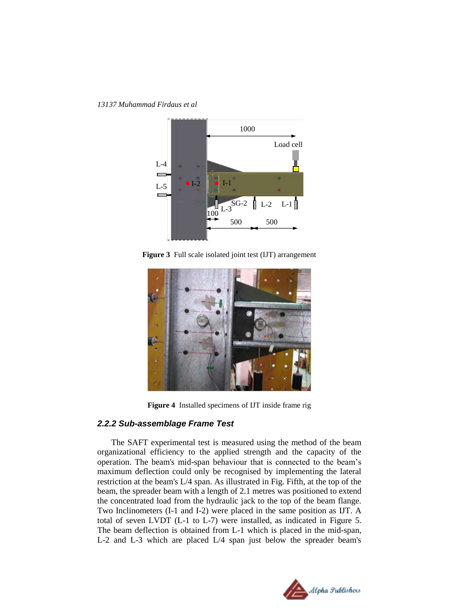*13137 Muhammad Firdaus et al*



**Figure 3** Full scale isolated joint test (IJT) arrangement

<span id="page-5-0"></span>

**Figure 4** Installed specimens of IJT inside frame rig

#### <span id="page-5-1"></span>*2.2.2 Sub-assemblage Frame Test*

The SAFT experimental test is measured using the method of the beam organizational efficiency to the applied strength and the capacity of the operation. The beam's mid-span behaviour that is connected to the beam's maximum deflection could only be recognised by implementing the lateral restriction at the beam's L/4 span. As illustrated in Fig. Fifth, at the top of the beam, the spreader beam with a length of 2.1 metres was positioned to extend the concentrated load from the hydraulic jack to the top of the beam flange. Two Inclinometers (I-1 and I-2) were placed in the same position as IJT. A total of seven LVDT (L-1 to L-7) were installed, as indicated in [Figure 5.](#page-6-0) The beam deflection is obtained from L-1 which is placed in the mid-span, L-2 and L-3 which are placed L/4 span just below the spreader beam's

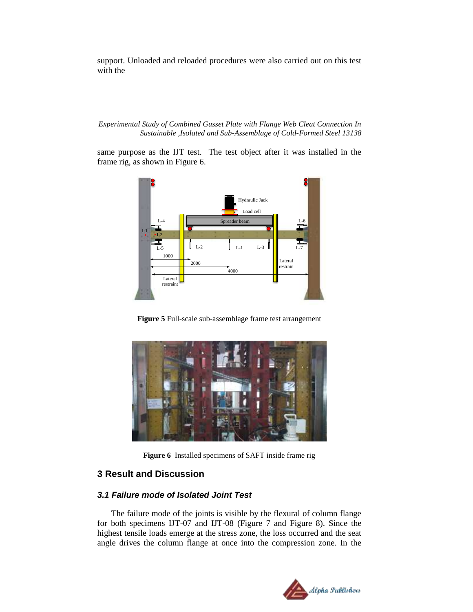support. Unloaded and reloaded procedures were also carried out on this test with the

#### *Experimental Study of Combined Gusset Plate with Flange Web Cleat Connection In Sustainable ,Isolated and Sub-Assemblage of Cold-Formed Steel 13138*

same purpose as the IJT test. The test object after it was installed in the frame rig, as shown in [Figure 6.](#page-6-1)



**Figure 5** Full-scale sub-assemblage frame test arrangement

<span id="page-6-0"></span>

**Figure 6** Installed specimens of SAFT inside frame rig

## <span id="page-6-1"></span>**3 Result and Discussion**

## *3.1 Failure mode of Isolated Joint Test*

The failure mode of the joints is visible by the flexural of column flange for both specimens IJT-07 and IJT-08 [\(Figure 7](#page-7-0) and [Figure 8\)](#page-8-0). Since the highest tensile loads emerge at the stress zone, the loss occurred and the seat angle drives the column flange at once into the compression zone. In the

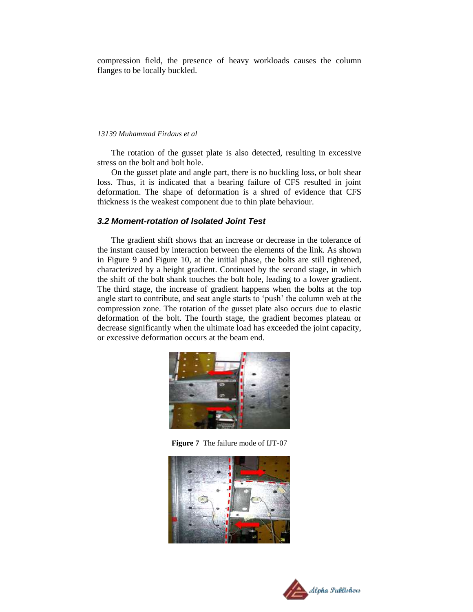compression field, the presence of heavy workloads causes the column flanges to be locally buckled.

#### *13139 Muhammad Firdaus et al*

The rotation of the gusset plate is also detected, resulting in excessive stress on the bolt and bolt hole.

On the gusset plate and angle part, there is no buckling loss, or bolt shear loss. Thus, it is indicated that a bearing failure of CFS resulted in joint deformation. The shape of deformation is a shred of evidence that CFS thickness is the weakest component due to thin plate behaviour.

## *3.2 Moment-rotation of Isolated Joint Test*

The gradient shift shows that an increase or decrease in the tolerance of the instant caused by interaction between the elements of the link. As shown in [Figure 9](#page-8-1) and [Figure 10,](#page-8-2) at the initial phase, the bolts are still tightened, characterized by a height gradient. Continued by the second stage, in which the shift of the bolt shank touches the bolt hole, leading to a lower gradient. The third stage, the increase of gradient happens when the bolts at the top angle start to contribute, and seat angle starts to 'push' the column web at the compression zone. The rotation of the gusset plate also occurs due to elastic deformation of the bolt. The fourth stage, the gradient becomes plateau or decrease significantly when the ultimate load has exceeded the joint capacity, or excessive deformation occurs at the beam end.



**Figure 7** The failure mode of IJT-07

<span id="page-7-0"></span>

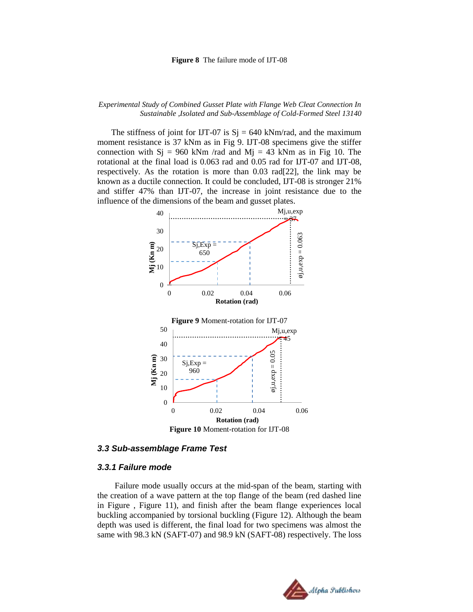#### **Figure 8** The failure mode of IJT-08

#### <span id="page-8-0"></span>*Experimental Study of Combined Gusset Plate with Flange Web Cleat Connection In Sustainable ,Isolated and Sub-Assemblage of Cold-Formed Steel 13140*

The stiffness of joint for IJT-07 is  $Si = 640$  kNm/rad, and the maximum moment resistance is 37 kNm as in Fig 9. IJT-08 specimens give the stiffer connection with  $Sj = 960$  kNm /rad and  $Mj = 43$  kNm as in Fig 10. The rotational at the final load is 0.063 rad and 0.05 rad for IJT-07 and IJT-08, respectively. As the rotation is more than 0.03 rad[22], the link may be known as a ductile connection. It could be concluded, IJT-08 is stronger 21% and stiffer 47% than IJT-07, the increase in joint resistance due to the influence of the dimensions of the beam and gusset plates.



#### <span id="page-8-2"></span><span id="page-8-1"></span>*3.3 Sub-assemblage Frame Test*

#### *3.3.1 Failure mode*

Failure mode usually occurs at the mid-span of the beam, starting with the creation of a wave pattern at the top flange of the beam (red dashed line in [Figure ,](#page-9-0) [Figure](#page-9-1) 11), and finish after the beam flange experiences local buckling accompanied by torsional buckling [\(Figure](#page-9-2) 12). Although the beam depth was used is different, the final load for two specimens was almost the same with 98.3 kN (SAFT-07) and 98.9 kN (SAFT-08) respectively. The loss

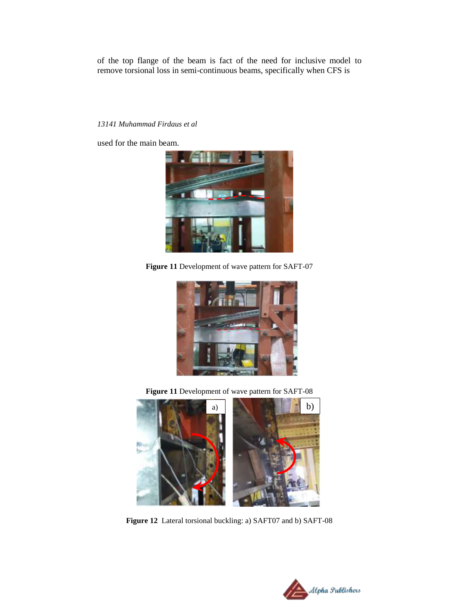of the top flange of the beam is fact of the need for inclusive model to remove torsional loss in semi-continuous beams, specifically when CFS is

## *13141 Muhammad Firdaus et al*

used for the main beam.



**Figure 11** Development of wave pattern for SAFT-07

<span id="page-9-0"></span>

**Figure 11** Development of wave pattern for SAFT-08

<span id="page-9-2"></span><span id="page-9-1"></span>

**Figure 12** Lateral torsional buckling: a) SAFT07 and b) SAFT-08

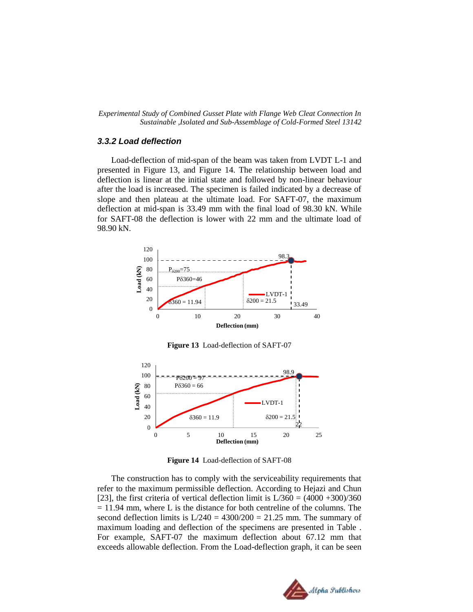*Experimental Study of Combined Gusset Plate with Flange Web Cleat Connection In Sustainable ,Isolated and Sub-Assemblage of Cold-Formed Steel 13142*

## *3.3.2 Load deflection*

Load-deflection of mid-span of the beam was taken from LVDT L-1 and presented in [Figure](#page-10-0) 13, and [Figure](#page-10-1) 14. The relationship between load and deflection is linear at the initial state and followed by non-linear behaviour after the load is increased. The specimen is failed indicated by a decrease of slope and then plateau at the ultimate load. For SAFT-07, the maximum deflection at mid-span is 33.49 mm with the final load of 98.30 kN. While for SAFT-08 the deflection is lower with 22 mm and the ultimate load of 98.90 kN.



**Figure 13** Load-deflection of SAFT-07

<span id="page-10-0"></span>

**Figure 14** Load-deflection of SAFT-08

<span id="page-10-1"></span>The construction has to comply with the serviceability requirements that refer to the maximum permissible deflection. According to Hejazi and Chun [23], the first criteria of vertical deflection limit is  $L/360 = (4000 + 300)/360$  $= 11.94$  mm, where L is the distance for both centreline of the columns. The second deflection limits is  $L/240 = 4300/200 = 21.25$  mm. The summary of maximum loading and deflection of the specimens are presented in [Table .](#page-11-0) For example, SAFT-07 the maximum deflection about 67.12 mm that exceeds allowable deflection. From the Load-deflection graph, it can be seen

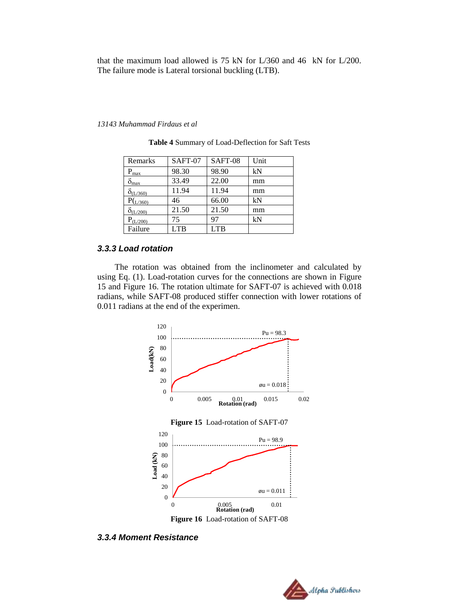that the maximum load allowed is 75 kN for L/360 and 46 kN for L/200. The failure mode is Lateral torsional buckling (LTB).

#### <span id="page-11-0"></span>*13143 Muhammad Firdaus et al*

| Remarks          | SAFT-07 | SAFT-08 | Unit |
|------------------|---------|---------|------|
| $P_{\text{max}}$ | 98.30   | 98.90   | kN   |
| $\delta_{\max}$  | 33.49   | 22.00   | mm   |
| O(L/360)         | 11.94   | 11.94   | mm   |
| P(L/360)         | 46      | 66.00   | kN   |
| $O_{(L/200)}$    | 21.50   | 21.50   | mm   |
| $P_{(L/200)}$    | 75      | 97      | kN   |
| Failure          | LTB     | LTB     |      |

**Table 4** Summary of Load-Deflection for Saft Tests

## *3.3.3 Load rotation*

The rotation was obtained from the inclinometer and calculated by using Eq. (1). Load-rotation curves for the connections are shown in [Figure](#page-11-1) [15](#page-11-1) and [Figure](#page-11-2) 16. The rotation ultimate for SAFT-07 is achieved with 0.018 radians, while SAFT-08 produced stiffer connection with lower rotations of 0.011 radians at the end of the experimen.



<span id="page-11-2"></span><span id="page-11-1"></span>*3.3.4 Moment Resistance*

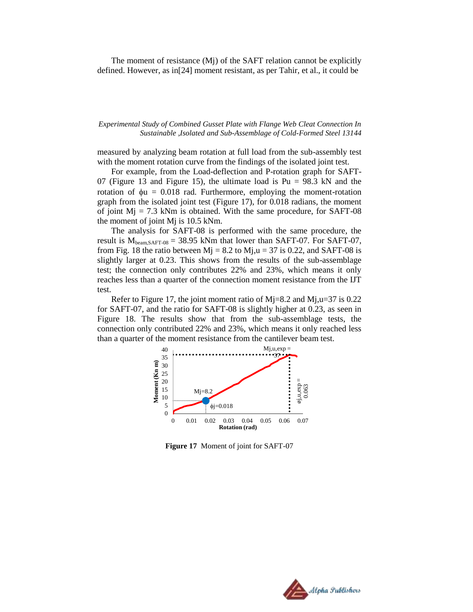The moment of resistance (Mj) of the SAFT relation cannot be explicitly defined. However, as in[24] moment resistant, as per Tahir, et al., it could be

#### *Experimental Study of Combined Gusset Plate with Flange Web Cleat Connection In Sustainable ,Isolated and Sub-Assemblage of Cold-Formed Steel 13144*

measured by analyzing beam rotation at full load from the sub-assembly test with the moment rotation curve from the findings of the isolated joint test.

For example, from the Load-deflection and P-rotation graph for SAFT-07 [\(Figure](#page-10-0) 13 and [Figure](#page-11-1) 15), the ultimate load is  $Pu = 98.3$  kN and the rotation of  $\phi u = 0.018$  rad. Furthermore, employing the moment-rotation graph from the isolated joint test [\(Figure](#page-12-0) 17), for 0.018 radians, the moment of joint  $Mj = 7.3$  kNm is obtained. With the same procedure, for SAFT-08 the moment of joint Mj is 10.5 kNm.

The analysis for SAFT-08 is performed with the same procedure, the result is  $M_{beam,SAFT-08} = 38.95$  kNm that lower than SAFT-07. For SAFT-07, from Fig. 18 the ratio between  $Mj = 8.2$  to  $Mj, u = 37$  is 0.22, and SAFT-08 is slightly larger at 0.23. This shows from the results of the sub-assemblage test; the connection only contributes 22% and 23%, which means it only reaches less than a quarter of the connection moment resistance from the IJT test.

Refer to [Figure](#page-12-0) 17, the joint moment ratio of  $M<sub>i</sub>=8.2$  and  $M<sub>i</sub>u=37$  is 0.22 for SAFT-07, and the ratio for SAFT-08 is slightly higher at 0.23, as seen in [Figure](#page-13-0) 18. The results show that from the sub-assemblage tests, the connection only contributed 22% and 23%, which means it only reached less than a quarter of the moment resistance from the cantilever beam test.



<span id="page-12-0"></span>**Figure 17** Moment of joint for SAFT-07

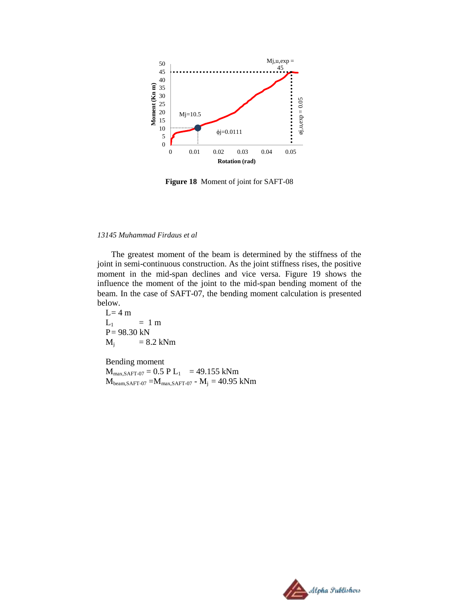

**Figure 18** Moment of joint for SAFT-08

## <span id="page-13-0"></span>*13145 Muhammad Firdaus et al*

The greatest moment of the beam is determined by the stiffness of the joint in semi-continuous construction. As the joint stiffness rises, the positive moment in the mid-span declines and vice versa. [Figure](#page-14-0) 19 shows the influence the moment of the joint to the mid-span bending moment of the beam. In the case of SAFT-07, the bending moment calculation is presented below.

 $L=4 m$  $L_1$  = 1 m  $P = 98.30$  kN  $M_i$  = 8.2 kNm

Bending moment  $M_{max,SAFT-07} = 0.5 P L_1 = 49.155$  kNm  $M_{\text{beam,SAPT-07}} = M_{\text{max,SAPT-07}}$  -  $M_j = 40.95$  kNm

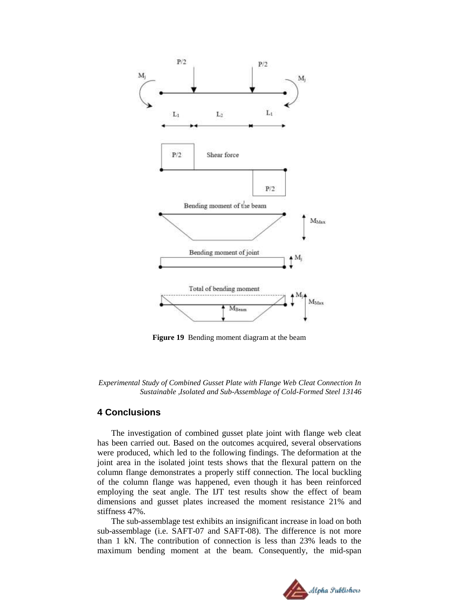

**Figure 19** Bending moment diagram at the beam

<span id="page-14-0"></span>*Experimental Study of Combined Gusset Plate with Flange Web Cleat Connection In Sustainable ,Isolated and Sub-Assemblage of Cold-Formed Steel 13146*

## **4 Conclusions**

The investigation of combined gusset plate joint with flange web cleat has been carried out. Based on the outcomes acquired, several observations were produced, which led to the following findings. The deformation at the joint area in the isolated joint tests shows that the flexural pattern on the column flange demonstrates a properly stiff connection. The local buckling of the column flange was happened, even though it has been reinforced employing the seat angle. The IJT test results show the effect of beam dimensions and gusset plates increased the moment resistance 21% and stiffness 47%.

The sub-assemblage test exhibits an insignificant increase in load on both sub-assemblage (i.e. SAFT-07 and SAFT-08). The difference is not more than 1 kN. The contribution of connection is less than 23% leads to the maximum bending moment at the beam. Consequently, the mid-span

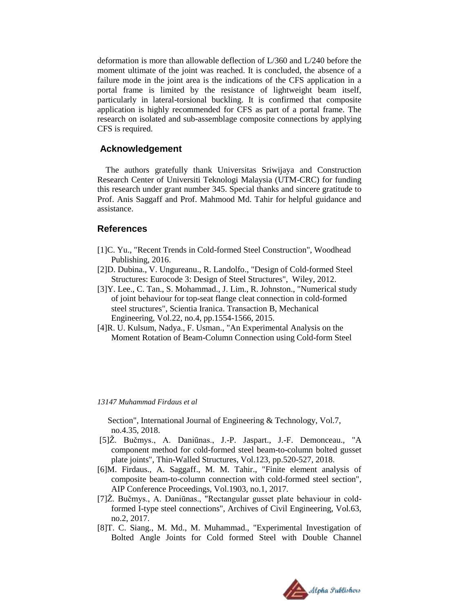deformation is more than allowable deflection of L/360 and L/240 before the moment ultimate of the joint was reached. It is concluded, the absence of a failure mode in the joint area is the indications of the CFS application in a portal frame is limited by the resistance of lightweight beam itself, particularly in lateral-torsional buckling. It is confirmed that composite application is highly recommended for CFS as part of a portal frame. The research on isolated and sub-assemblage composite connections by applying CFS is required.

## **Acknowledgement**

The authors gratefully thank Universitas Sriwijaya and Construction Research Center of Universiti Teknologi Malaysia (UTM-CRC) for funding this research under grant number 345. Special thanks and sincere gratitude to Prof. Anis Saggaff and Prof. Mahmood Md. Tahir for helpful guidance and assistance.

## **References**

- [1]C. Yu., "Recent Trends in Cold-formed Steel Construction", Woodhead Publishing, 2016.
- [2]D. Dubina., V. Ungureanu., R. Landolfo., "Design of Cold-formed Steel Structures: Eurocode 3: Design of Steel Structures", Wiley, 2012.
- [3]Y. Lee., C. Tan., S. Mohammad., J. Lim., R. Johnston., "Numerical study of joint behaviour for top-seat flange cleat connection in cold-formed steel structures", Scientia Iranica. Transaction B, Mechanical Engineering, Vol.22, no.4, pp.1554-1566, 2015.
- [4]R. U. Kulsum, Nadya., F. Usman., "An Experimental Analysis on the Moment Rotation of Beam-Column Connection using Cold-form Steel

#### *13147 Muhammad Firdaus et al*

Section", International Journal of Engineering & Technology, Vol.7, no.4.35, 2018.

- [5]Ž. Bučmys., A. Daniūnas., J.-P. Jaspart., J.-F. Demonceau., "A component method for cold-formed steel beam-to-column bolted gusset plate joints", Thin-Walled Structures, Vol.123, pp.520-527, 2018.
- [6]M. Firdaus., A. Saggaff., M. M. Tahir., "Finite element analysis of composite beam-to-column connection with cold-formed steel section", AIP Conference Proceedings, Vol.1903, no.1, 2017.
- [7]Ž. Bučmys., A. Daniūnas., "Rectangular gusset plate behaviour in coldformed I-type steel connections", Archives of Civil Engineering, Vol.63, no.2, 2017.
- [8]T. C. Siang., M. Md., M. Muhammad., "Experimental Investigation of Bolted Angle Joints for Cold formed Steel with Double Channel

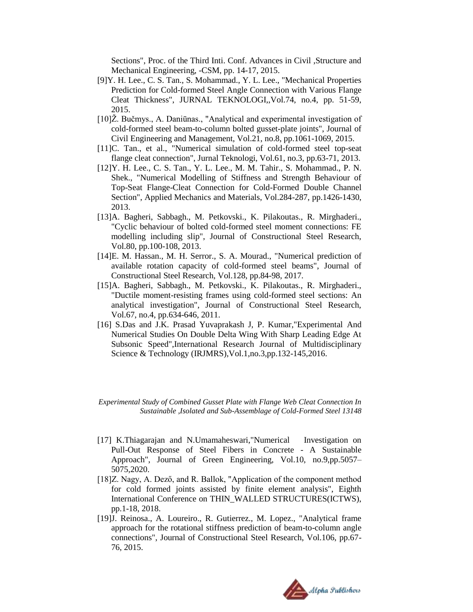Sections", Proc. of the Third Inti. Conf. Advances in Civil ,Structure and Mechanical Engineering, -CSM, pp. 14-17, 2015.

- [9]Y. H. Lee., C. S. Tan., S. Mohammad., Y. L. Lee., "Mechanical Properties Prediction for Cold-formed Steel Angle Connection with Various Flange Cleat Thickness", JURNAL TEKNOLOGI,,Vol.74, no.4, pp. 51-59, 2015.
- [10]Ž. Bučmys., A. Daniūnas., "Analytical and experimental investigation of cold-formed steel beam-to-column bolted gusset-plate joints", Journal of Civil Engineering and Management, Vol.21, no.8, pp.1061-1069, 2015.
- [11]C. Tan., et al., "Numerical simulation of cold-formed steel top-seat flange cleat connection", Jurnal Teknologi, Vol.61, no.3, pp.63-71, 2013.
- [12]Y. H. Lee., C. S. Tan., Y. L. Lee., M. M. Tahir., S. Mohammad., P. N. Shek., "Numerical Modelling of Stiffness and Strength Behaviour of Top-Seat Flange-Cleat Connection for Cold-Formed Double Channel Section", Applied Mechanics and Materials, Vol.284-287, pp.1426-1430, 2013.
- [13]A. Bagheri, Sabbagh., M. Petkovski., K. Pilakoutas., R. Mirghaderi., "Cyclic behaviour of bolted cold-formed steel moment connections: FE modelling including slip", Journal of Constructional Steel Research, Vol.80, pp.100-108, 2013.
- [14]E. M. Hassan., M. H. Serror., S. A. Mourad., "Numerical prediction of available rotation capacity of cold-formed steel beams", Journal of Constructional Steel Research, Vol.128, pp.84-98, 2017.
- [15]A. Bagheri, Sabbagh., M. Petkovski., K. Pilakoutas., R. Mirghaderi., "Ductile moment-resisting frames using cold-formed steel sections: An analytical investigation", Journal of Constructional Steel Research, Vol.67, no.4, pp.634-646, 2011.
- [16] S.Das and J.K. Prasad Yuvaprakash J, P. Kumar, "Experimental And Numerical Studies On Double Delta Wing With Sharp Leading Edge At Subsonic Speed", International Research Journal of Multidisciplinary Science & Technology (IRJMRS),Vol.1,no.3,pp.132-145,2016.

*Experimental Study of Combined Gusset Plate with Flange Web Cleat Connection In Sustainable ,Isolated and Sub-Assemblage of Cold-Formed Steel 13148*

- [17] K.Thiagarajan and N.Umamaheswari,"Numerical Investigation on Pull-Out Response of Steel Fibers in Concrete - A Sustainable Approach", Journal of Green Engineering, Vol.10, no.9,pp.5057– 5075,2020.
- [18]Z. Nagy, A. Dező, and R. Ballok, "Application of the component method for cold formed joints assisted by finite element analysis", Eighth International Conference on THIN\_WALLED STRUCTURES(ICTWS), pp.1-18, 2018.
- [19]J. Reinosa., A. Loureiro., R. Gutierrez., M. Lopez., "Analytical frame approach for the rotational stiffness prediction of beam-to-column angle connections", Journal of Constructional Steel Research, Vol.106, pp.67- 76, 2015.

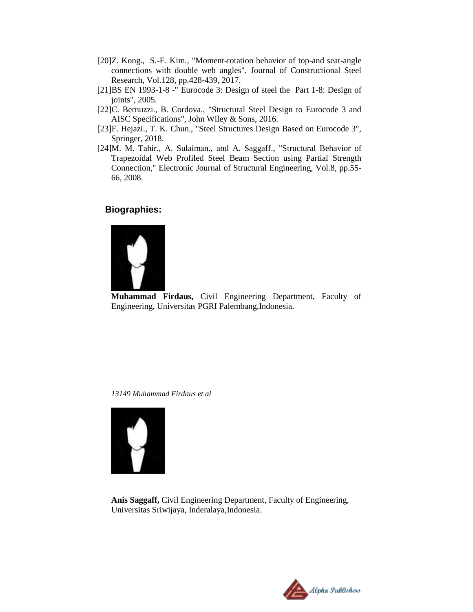- [20]Z. Kong., S.-E. Kim., "Moment-rotation behavior of top-and seat-angle connections with double web angles", Journal of Constructional Steel Research, Vol.128, pp.428-439, 2017.
- [21]BS EN 1993-1-8 -" Eurocode 3: Design of steel the Part 1-8: Design of joints", 2005.
- [22]C. Bernuzzi., B. Cordova., "Structural Steel Design to Eurocode 3 and AISC Specifications", John Wiley & Sons, 2016.
- [23]F. Hejazi., T. K. Chun., "Steel Structures Design Based on Eurocode 3", Springer, 2018.
- [24]M. M. Tahir., A. Sulaiman., and A. Saggaff., "Structural Behavior of Trapezoidal Web Profiled Steel Beam Section using Partial Strength Connection," Electronic Journal of Structural Engineering, Vol.8, pp.55- 66, 2008.

# **Biographies:**



**Muhammad Firdaus,** Civil Engineering Department, Faculty of Engineering, Universitas PGRI Palembang,Indonesia.

*13149 Muhammad Firdaus et al*



**Anis Saggaff,** Civil Engineering Department, Faculty of Engineering, Universitas Sriwijaya, Inderalaya,Indonesia.